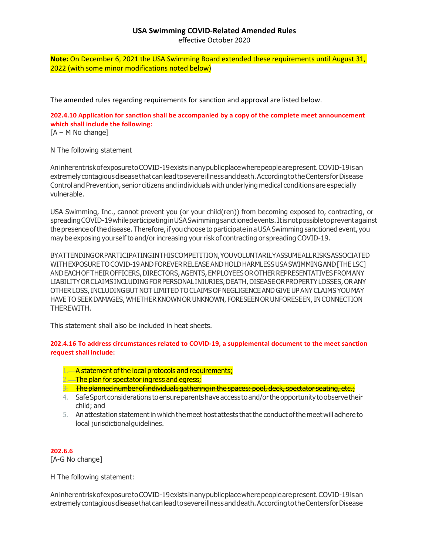## **USA Swimming COVID-Related Amended Rules**

effective October 2020

**Note:** On December 6, 2021 the USA Swimming Board extended these requirements until August 31, 2022 (with some minor modifications noted below)

The amended rules regarding requirements for sanction and approval are listed below.

**202.4.10 Application for sanction shall be accompanied by a copy of the complete meet announcement which shall include the following:**  $[A - M]$  No change]

N The following statement

AninherentriskofexposuretoCOVID-19existsinanypublicplacewherepeoplearepresent.COVID-19isan extremelycontagiousdiseasethatcanleadtosevereillnessanddeath.AccordingtotheCentersforDisease Control and Prevention, senior citizens and individuals with underlying medical conditions are especially vulnerable.

USA Swimming, Inc., cannot prevent you (or your child(ren)) from becoming exposed to, contracting, or spreadingCOVID-19whileparticipatinginUSASwimmingsanctionedevents.Itisnotpossibletopreventagainst the presence of the disease. Therefore, if you choose to participate in a USA Swimming sanctioned event, you may be exposing yourselfto and/orincreasing yourrisk of contracting or spreading COVID-19.

BYATTENDINGORPARTICIPATINGINTHISCOMPETITION,YOUVOLUNTARILYASSUMEALLRISKSASSOCIATED WITHEXPOSURETOCOVID-19ANDFOREVERRELEASEANDHOLDHARMLESSUSASWIMMINGAND[THE LSC] ANDEACHOFTHEIROFFICERS,DIRECTORS,AGENTS,EMPLOYEESOROTHERREPRESENTATIVESFROMANY LIABILITYORCLAIMSINCLUDINGFORPERSONAL INJURIES,DEATH,DISEASEORPROPERTYLOSSES,ORANY OTHERLOSS,INCLUDINGBUTNOTLIMITEDTO CLAIMS OFNEGLIGENCEANDGIVEUP ANY CLAIMS YOUMAY HAVE TO SEEK DAMAGES, WHETHER KNOWN OR UNKNOWN, FORESEEN OR UNFORESEEN, IN CONNECTION THEREWITH.

This statement shall also be included in heat sheets.

**202.4.16 To address circumstances related to COVID-19, a supplemental document to the meet sanction request shall include:**

- 1. A statement of the local protocols and requirements;
- 2. The plan for spectator ingress and egress;
- 3. The planned number of individuals gathering in the spaces: pool, deck, spectator seating, etc.;
- 4. Safe Sport considerations to ensure parents have access to and/or the opportunity to observe their child; and
- 5. Anattestationstatementin which themeet host attests thatthe conduct ofthe meet will adhere to local jurisdictionalguidelines.

**202.6.6**

[A-G No change]

H The following statement:

AninherentriskofexposuretoCOVID-19existsinanypublicplacewherepeoplearepresent.COVID-19isan extremelycontagiousdiseasethatcanleadtosevereillnessanddeath.AccordingtotheCentersforDisease